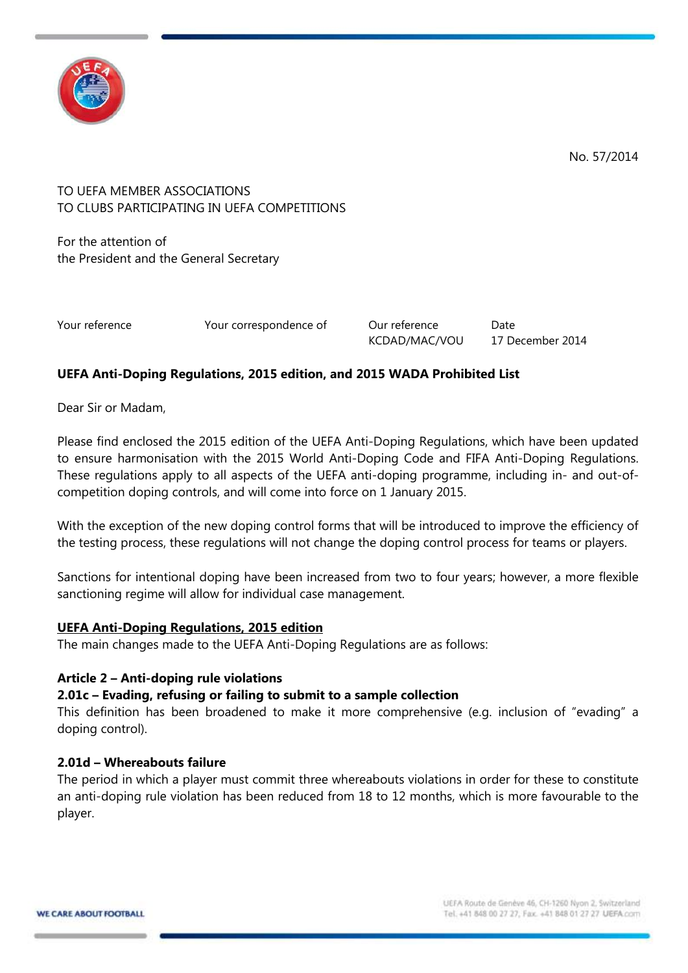

No. 57/2014

# TO UEFA MEMBER ASSOCIATIONS TO CLUBS PARTICIPATING IN UEFA COMPETITIONS

For the attention of the President and the General Secretary

Your reference The Your correspondence of The Our reference Date

KCDAD/MAC/VOU 17 December 2014

# **UEFA Anti-Doping Regulations, 2015 edition, and 2015 WADA Prohibited List**

Dear Sir or Madam,

Please find enclosed the 2015 edition of the UEFA Anti-Doping Regulations, which have been updated to ensure harmonisation with the 2015 World Anti-Doping Code and FIFA Anti-Doping Regulations. These regulations apply to all aspects of the UEFA anti-doping programme, including in- and out-ofcompetition doping controls, and will come into force on 1 January 2015.

With the exception of the new doping control forms that will be introduced to improve the efficiency of the testing process, these regulations will not change the doping control process for teams or players.

Sanctions for intentional doping have been increased from two to four years; however, a more flexible sanctioning regime will allow for individual case management.

# **UEFA Anti-Doping Regulations, 2015 edition**

The main changes made to the UEFA Anti-Doping Regulations are as follows:

# **Article 2 – Anti-doping rule violations**

# **2.01c – Evading, refusing or failing to submit to a sample collection**

This definition has been broadened to make it more comprehensive (e.g. inclusion of "evading" a doping control).

# **2.01d – Whereabouts failure**

The period in which a player must commit three whereabouts violations in order for these to constitute an anti-doping rule violation has been reduced from 18 to 12 months, which is more favourable to the player.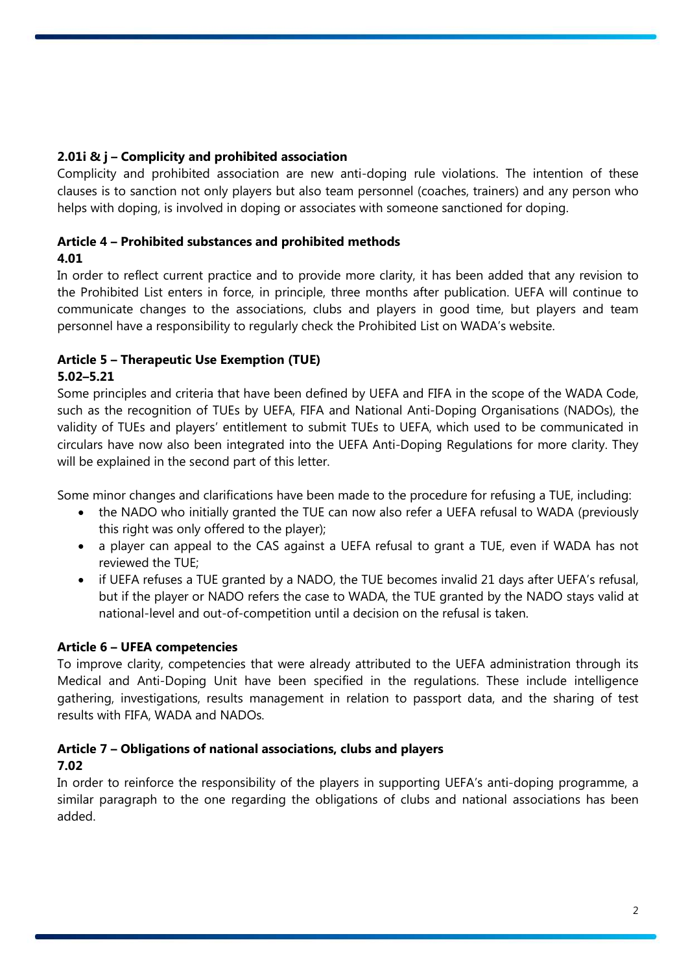# **2.01i & j – Complicity and prohibited association**

Complicity and prohibited association are new anti-doping rule violations. The intention of these clauses is to sanction not only players but also team personnel (coaches, trainers) and any person who helps with doping, is involved in doping or associates with someone sanctioned for doping.

# **Article 4 – Prohibited substances and prohibited methods**

# **4.01**

In order to reflect current practice and to provide more clarity, it has been added that any revision to the Prohibited List enters in force, in principle, three months after publication. UEFA will continue to communicate changes to the associations, clubs and players in good time, but players and team personnel have a responsibility to regularly check the Prohibited List on WADA's website.

#### **Article 5 – Therapeutic Use Exemption (TUE) 5.02–5.21**

Some principles and criteria that have been defined by UEFA and FIFA in the scope of the WADA Code, such as the recognition of TUEs by UEFA, FIFA and National Anti-Doping Organisations (NADOs), the validity of TUEs and players' entitlement to submit TUEs to UEFA, which used to be communicated in circulars have now also been integrated into the UEFA Anti-Doping Regulations for more clarity. They will be explained in the second part of this letter.

Some minor changes and clarifications have been made to the procedure for refusing a TUE, including:

- the NADO who initially granted the TUE can now also refer a UEFA refusal to WADA (previously this right was only offered to the player);
- a player can appeal to the CAS against a UEFA refusal to grant a TUE, even if WADA has not reviewed the TUE;
- if UEFA refuses a TUE granted by a NADO, the TUE becomes invalid 21 days after UEFA's refusal, but if the player or NADO refers the case to WADA, the TUE granted by the NADO stays valid at national-level and out-of-competition until a decision on the refusal is taken.

# **Article 6 – UFEA competencies**

To improve clarity, competencies that were already attributed to the UEFA administration through its Medical and Anti-Doping Unit have been specified in the regulations. These include intelligence gathering, investigations, results management in relation to passport data, and the sharing of test results with FIFA, WADA and NADOs.

# **Article 7 – Obligations of national associations, clubs and players**

# **7.02**

In order to reinforce the responsibility of the players in supporting UEFA's anti-doping programme, a similar paragraph to the one regarding the obligations of clubs and national associations has been added.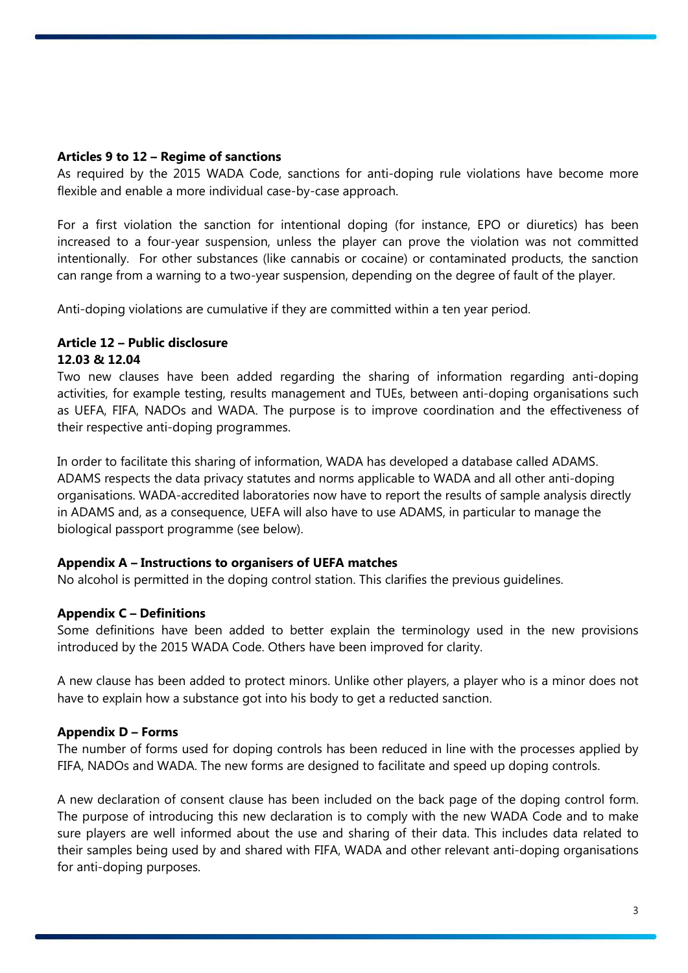### **Articles 9 to 12 – Regime of sanctions**

As required by the 2015 WADA Code, sanctions for anti-doping rule violations have become more flexible and enable a more individual case-by-case approach.

For a first violation the sanction for intentional doping (for instance, EPO or diuretics) has been increased to a four-year suspension, unless the player can prove the violation was not committed intentionally. For other substances (like cannabis or cocaine) or contaminated products, the sanction can range from a warning to a two-year suspension, depending on the degree of fault of the player.

Anti-doping violations are cumulative if they are committed within a ten year period.

# **Article 12 – Public disclosure 12.03 & 12.04**

Two new clauses have been added regarding the sharing of information regarding anti-doping activities, for example testing, results management and TUEs, between anti-doping organisations such as UEFA, FIFA, NADOs and WADA. The purpose is to improve coordination and the effectiveness of their respective anti-doping programmes.

In order to facilitate this sharing of information, WADA has developed a database called ADAMS. ADAMS respects the data privacy statutes and norms applicable to WADA and all other anti-doping organisations. WADA-accredited laboratories now have to report the results of sample analysis directly in ADAMS and, as a consequence, UEFA will also have to use ADAMS, in particular to manage the biological passport programme (see below).

#### **Appendix A – Instructions to organisers of UEFA matches**

No alcohol is permitted in the doping control station. This clarifies the previous guidelines.

# **Appendix C – Definitions**

Some definitions have been added to better explain the terminology used in the new provisions introduced by the 2015 WADA Code. Others have been improved for clarity.

A new clause has been added to protect minors. Unlike other players, a player who is a minor does not have to explain how a substance got into his body to get a reducted sanction.

#### **Appendix D – Forms**

The number of forms used for doping controls has been reduced in line with the processes applied by FIFA, NADOs and WADA. The new forms are designed to facilitate and speed up doping controls.

A new declaration of consent clause has been included on the back page of the doping control form. The purpose of introducing this new declaration is to comply with the new WADA Code and to make sure players are well informed about the use and sharing of their data. This includes data related to their samples being used by and shared with FIFA, WADA and other relevant anti-doping organisations for anti-doping purposes.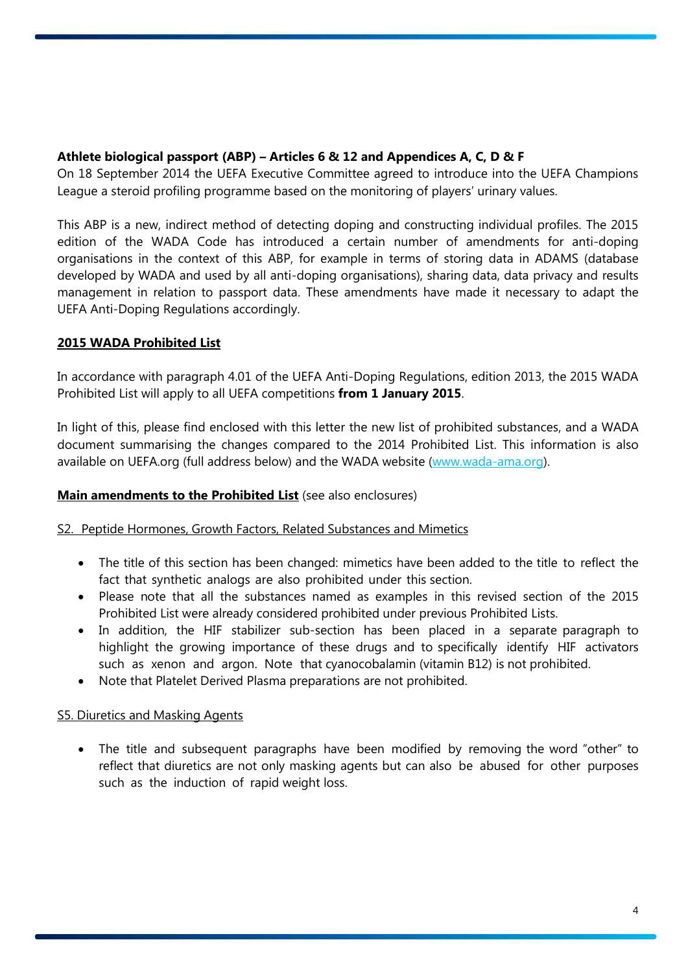# **Athlete biological passport (ABP) – Articles 6 & 12 and Appendices A, C, D & F**

On 18 September 2014 the UEFA Executive Committee agreed to introduce into the UEFA Champions League a steroid profiling programme based on the monitoring of players' urinary values.

This ABP is a new, indirect method of detecting doping and constructing individual profiles. The 2015 edition of the WADA Code has introduced a certain number of amendments for anti-doping organisations in the context of this ABP, for example in terms of storing data in ADAMS (database developed by WADA and used by all anti-doping organisations), sharing data, data privacy and results management in relation to passport data. These amendments have made it necessary to adapt the UEFA Anti-Doping Regulations accordingly.

# **2015 WADA Prohibited List**

In accordance with paragraph 4.01 of the UEFA Anti-Doping Regulations, edition 2013, the 2015 WADA Prohibited List will apply to all UEFA competitions **from 1 January 2015**.

In light of this, please find enclosed with this letter the new list of prohibited substances, and a WADA document summarising the changes compared to the 2014 Prohibited List. This information is also available on UEFA.org (full address below) and the WADA website [\(www.wada-ama.org\)](http://www.wada-ama.org/).

# **Main amendments to the Prohibited List** (see also enclosures)

# S2. Peptide Hormones, Growth Factors, Related Substances and Mimetics

- The title of this section has been changed: mimetics have been added to the title to reflect the fact that synthetic analogs are also prohibited under this section.
- Please note that all the substances named as examples in this revised section of the 2015 Prohibited List were already considered prohibited under previous Prohibited Lists.
- In addition, the HIF stabilizer sub-section has been placed in a separate paragraph to highlight the growing importance of these drugs and to specifically identify HIF activators such as xenon and argon. Note that cyanocobalamin (vitamin B12) is not prohibited.
- Note that Platelet Derived Plasma preparations are not prohibited.

# S5. Diuretics and Masking Agents

• The title and subsequent paragraphs have been modified by removing the word "other" to reflect that diuretics are not only masking agents but can also be abused for other purposes such as the induction of rapid weight loss.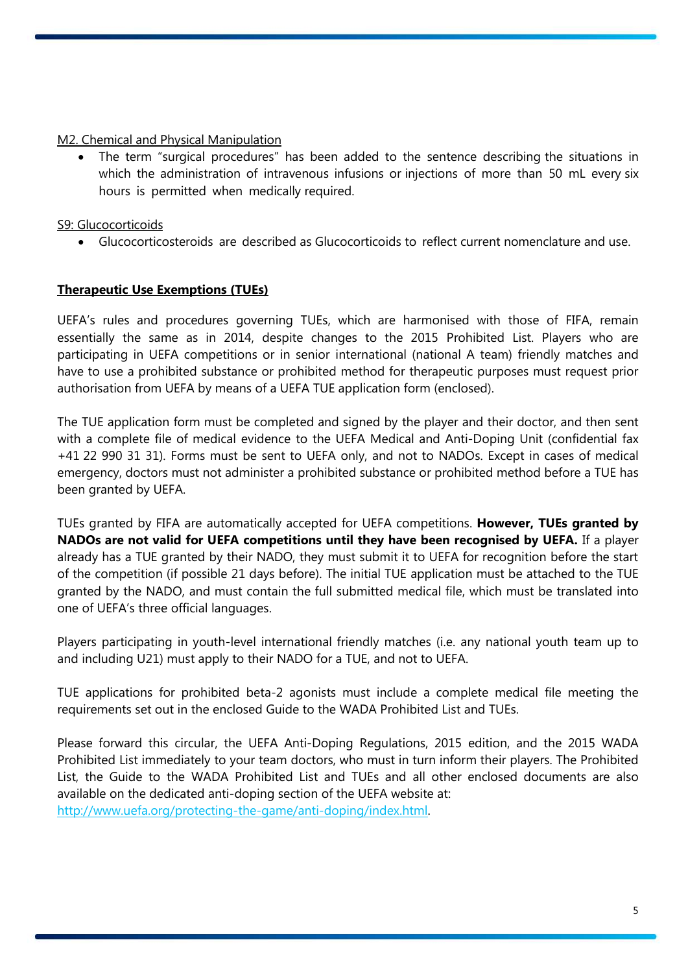M2. Chemical and Physical Manipulation

 The term "surgical procedures" has been added to the sentence describing the situations in which the administration of intravenous infusions or injections of more than 50 mL every six hours is permitted when medically required.

S9: Glucocorticoids

Glucocorticosteroids are described as Glucocorticoids to reflect current nomenclature and use.

# **Therapeutic Use Exemptions (TUEs)**

UEFA's rules and procedures governing TUEs, which are harmonised with those of FIFA, remain essentially the same as in 2014, despite changes to the 2015 Prohibited List. Players who are participating in UEFA competitions or in senior international (national A team) friendly matches and have to use a prohibited substance or prohibited method for therapeutic purposes must request prior authorisation from UEFA by means of a UEFA TUE application form (enclosed).

The TUE application form must be completed and signed by the player and their doctor, and then sent with a complete file of medical evidence to the UEFA Medical and Anti-Doping Unit (confidential fax +41 22 990 31 31). Forms must be sent to UEFA only, and not to NADOs. Except in cases of medical emergency, doctors must not administer a prohibited substance or prohibited method before a TUE has been granted by UEFA.

TUEs granted by FIFA are automatically accepted for UEFA competitions. **However, TUEs granted by NADOs are not valid for UEFA competitions until they have been recognised by UEFA.** If a player already has a TUE granted by their NADO, they must submit it to UEFA for recognition before the start of the competition (if possible 21 days before). The initial TUE application must be attached to the TUE granted by the NADO, and must contain the full submitted medical file, which must be translated into one of UEFA's three official languages.

Players participating in youth-level international friendly matches (i.e. any national youth team up to and including U21) must apply to their NADO for a TUE, and not to UEFA.

TUE applications for prohibited beta-2 agonists must include a complete medical file meeting the requirements set out in the enclosed Guide to the WADA Prohibited List and TUEs.

Please forward this circular, the UEFA Anti-Doping Regulations, 2015 edition, and the 2015 WADA Prohibited List immediately to your team doctors, who must in turn inform their players. The Prohibited List, the Guide to the WADA Prohibited List and TUEs and all other enclosed documents are also available on the dedicated anti-doping section of the UEFA website at: [http://www.uefa.org/protecting-the-game/anti-doping/index.html.](http://www.uefa.org/protecting-the-game/anti-doping/index.html)